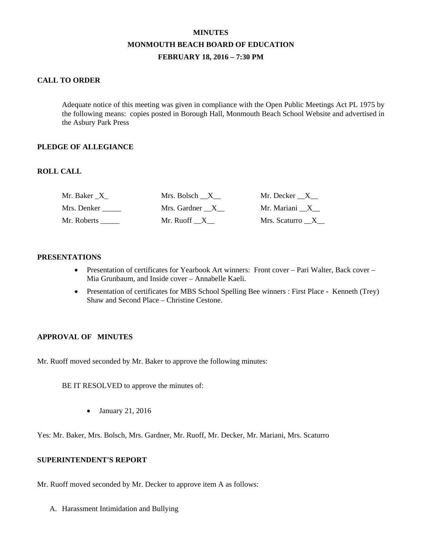# **MINUTES MONMOUTH BEACH BOARD OF EDUCATION FEBRUARY 18, 2016 – 7:30 PM**

## **CALL TO ORDER**

Adequate notice of this meeting was given in compliance with the Open Public Meetings Act PL 1975 by the following means: copies posted in Borough Hall, Monmouth Beach School Website and advertised in the Asbury Park Press

#### **PLEDGE OF ALLEGIANCE**

### **ROLL CALL**

| Mr. Baker X | Mrs. Bolsch X  | Mr. Decker __X__ |
|-------------|----------------|------------------|
| Mrs. Denker | Mrs. Gardner X | Mr. Mariani X    |
| Mr. Roberts | Mr. Ruoff X    | Mrs. Scaturro X  |

#### **PRESENTATIONS**

- Presentation of certificates for Yearbook Art winners: Front cover Pari Walter, Back cover Mia Grunbaum, and Inside cover – Annabelle Kaeli.
- Presentation of certificates for MBS School Spelling Bee winners : First Place Kenneth (Trey) Shaw and Second Place – Christine Cestone.

#### **APPROVAL OF MINUTES**

Mr. Ruoff moved seconded by Mr. Baker to approve the following minutes:

BE IT RESOLVED to approve the minutes of:

• January 21, 2016

Yes: Mr. Baker, Mrs. Bolsch, Mrs. Gardner, Mr. Ruoff, Mr. Decker, Mr. Mariani, Mrs. Scaturro

### **SUPERINTENDENT'S REPORT**

Mr. Ruoff moved seconded by Mr. Decker to approve item A as follows:

A. Harassment Intimidation and Bullying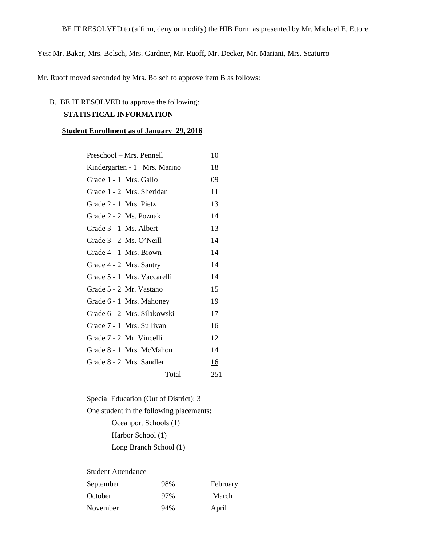Yes: Mr. Baker, Mrs. Bolsch, Mrs. Gardner, Mr. Ruoff, Mr. Decker, Mr. Mariani, Mrs. Scaturro

Mr. Ruoff moved seconded by Mrs. Bolsch to approve item B as follows:

# B. BE IT RESOLVED to approve the following:

# **STATISTICAL INFORMATION**

#### **Student Enrollment as of January 29, 2016**

| Preschool – Mrs. Pennell     | 10  |
|------------------------------|-----|
| Kindergarten - 1 Mrs. Marino | 18  |
| Grade 1 - 1 Mrs. Gallo       | 09  |
| Grade 1 - 2 Mrs. Sheridan    | 11  |
| Grade 2 - 1 Mrs. Pietz       | 13  |
| Grade 2 - 2 Ms. Poznak       | 14  |
| Grade 3 - 1 Ms. Albert       | 13  |
| Grade 3 - 2 Ms. O'Neill      | 14  |
| Grade 4 - 1 Mrs. Brown       | 14  |
| Grade 4 - 2 Mrs. Santry      | 14  |
| Grade 5 - 1 Mrs. Vaccarelli  | 14  |
| Grade 5 - 2 Mr. Vastano      | 15  |
| Grade 6 - 1 Mrs. Mahoney     | 19  |
| Grade 6 - 2 Mrs. Silakowski  | 17  |
| Grade 7 - 1 Mrs. Sullivan    | 16  |
| Grade 7 - 2 Mr. Vincelli     | 12  |
| Grade 8 - 1 Mrs. McMahon     | 14  |
| Grade 8 - 2 Mrs. Sandler     | 16  |
| Total                        | 251 |
|                              |     |

Special Education (Out of District): 3 One student in the following placements: Oceanport Schools (1) Harbor School (1) Long Branch School (1)

### **Student Attendance**

| September | 98% | February |
|-----------|-----|----------|
| October   | 97% | March    |
| November  | 94% | April    |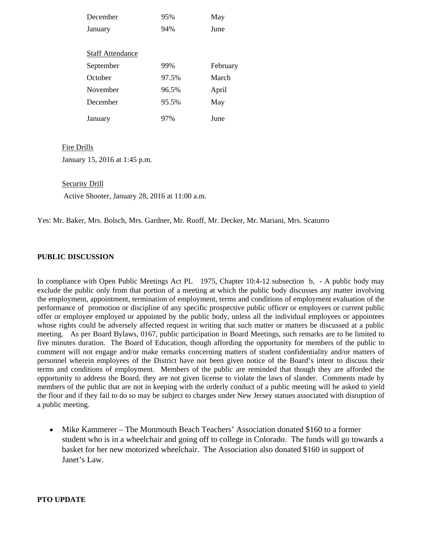| 95%<br>December<br>May   |          |
|--------------------------|----------|
| 94%<br>June<br>January   |          |
|                          |          |
| <b>Staff Attendance</b>  |          |
| 99%<br>September         | February |
| October<br>97.5%         | March    |
| November<br>96.5%        | April    |
| December<br>95.5%<br>May |          |
| 97%<br>June<br>January   |          |

#### Fire Drills

January 15, 2016 at 1:45 p.m.

#### Security Drill

Active Shooter, January 28, 2016 at 11:00 a.m.

Yes: Mr. Baker, Mrs. Bolsch, Mrs. Gardner, Mr. Ruoff, Mr. Decker, Mr. Mariani, Mrs. Scaturro

#### **PUBLIC DISCUSSION**

In compliance with Open Public Meetings Act PL 1975, Chapter 10:4-12 subsection b, - A public body may exclude the public only from that portion of a meeting at which the public body discusses any matter involving the employment, appointment, termination of employment, terms and conditions of employment evaluation of the performance of promotion or discipline of any specific prospective public officer or employees or current public offer or employee employed or appointed by the public body, unless all the individual employees or appointees whose rights could be adversely affected request in writing that such matter or matters be discussed at a public meeting. As per Board Bylaws, 0167, public participation in Board Meetings, such remarks are to be limited to five minutes duration. The Board of Education, though affording the opportunity for members of the public to comment will not engage and/or make remarks concerning matters of student confidentiality and/or matters of personnel wherein employees of the District have not been given notice of the Board's intent to discuss their terms and conditions of employment. Members of the public are reminded that though they are afforded the opportunity to address the Board, they are not given license to violate the laws of slander. Comments made by members of the public that are not in keeping with the orderly conduct of a public meeting will be asked to yield the floor and if they fail to do so may be subject to charges under New Jersey statues associated with disruption of a public meeting.

• Mike Kammerer – The Monmouth Beach Teachers' Association donated \$160 to a former student who is in a wheelchair and going off to college in Colorado. The funds will go towards a basket for her new motorized wheelchair. The Association also donated \$160 in support of Janet's Law.

#### **PTO UPDATE**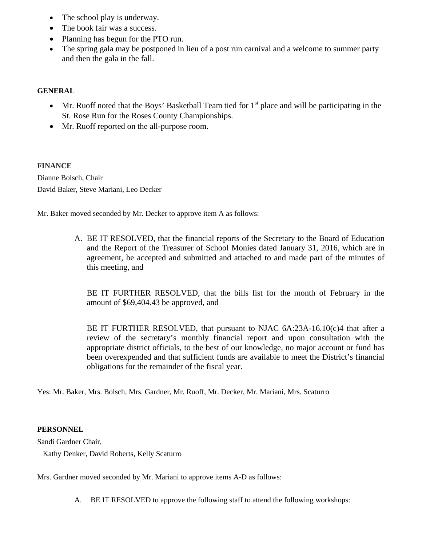- The school play is underway.
- The book fair was a success.
- Planning has begun for the PTO run.
- The spring gala may be postponed in lieu of a post run carnival and a welcome to summer party and then the gala in the fall.

# **GENERAL**

- Mr. Ruoff noted that the Boys' Basketball Team tied for  $1<sup>st</sup>$  place and will be participating in the St. Rose Run for the Roses County Championships.
- Mr. Ruoff reported on the all-purpose room.

# **FINANCE**

Dianne Bolsch, Chair David Baker, Steve Mariani, Leo Decker

Mr. Baker moved seconded by Mr. Decker to approve item A as follows:

A. BE IT RESOLVED, that the financial reports of the Secretary to the Board of Education and the Report of the Treasurer of School Monies dated January 31, 2016, which are in agreement, be accepted and submitted and attached to and made part of the minutes of this meeting, and

BE IT FURTHER RESOLVED, that the bills list for the month of February in the amount of \$69,404.43 be approved, and

BE IT FURTHER RESOLVED, that pursuant to NJAC 6A:23A-16.10(c)4 that after a review of the secretary's monthly financial report and upon consultation with the appropriate district officials, to the best of our knowledge, no major account or fund has been overexpended and that sufficient funds are available to meet the District's financial obligations for the remainder of the fiscal year.

Yes: Mr. Baker, Mrs. Bolsch, Mrs. Gardner, Mr. Ruoff, Mr. Decker, Mr. Mariani, Mrs. Scaturro

# **PERSONNEL**

Sandi Gardner Chair,

Kathy Denker, David Roberts, Kelly Scaturro

Mrs. Gardner moved seconded by Mr. Mariani to approve items A-D as follows:

A. BE IT RESOLVED to approve the following staff to attend the following workshops: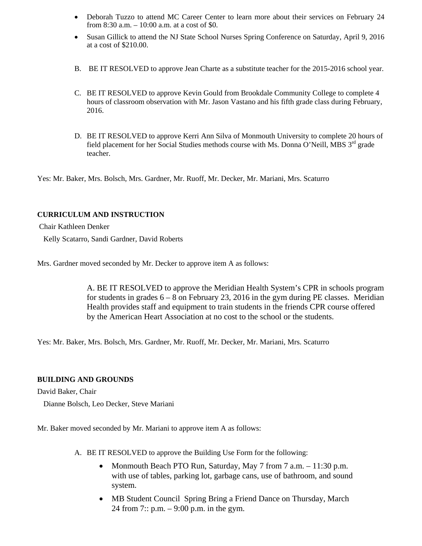- Deborah Tuzzo to attend MC Career Center to learn more about their services on February 24 from 8:30 a.m. – 10:00 a.m. at a cost of \$0.
- Susan Gillick to attend the NJ State School Nurses Spring Conference on Saturday, April 9, 2016 at a cost of \$210.00.
- B. BE IT RESOLVED to approve Jean Charte as a substitute teacher for the 2015-2016 school year.
- C. BE IT RESOLVED to approve Kevin Gould from Brookdale Community College to complete 4 hours of classroom observation with Mr. Jason Vastano and his fifth grade class during February, 2016.
- D. BE IT RESOLVED to approve Kerri Ann Silva of Monmouth University to complete 20 hours of field placement for her Social Studies methods course with Ms. Donna O'Neill, MBS 3<sup>rd</sup> grade teacher.

Yes: Mr. Baker, Mrs. Bolsch, Mrs. Gardner, Mr. Ruoff, Mr. Decker, Mr. Mariani, Mrs. Scaturro

# **CURRICULUM AND INSTRUCTION**

Chair Kathleen Denker

Kelly Scatarro, Sandi Gardner, David Roberts

Mrs. Gardner moved seconded by Mr. Decker to approve item A as follows:

A. BE IT RESOLVED to approve the Meridian Health System's CPR in schools program for students in grades  $6 - 8$  on February 23, 2016 in the gym during PE classes. Meridian Health provides staff and equipment to train students in the friends CPR course offered by the American Heart Association at no cost to the school or the students.

Yes: Mr. Baker, Mrs. Bolsch, Mrs. Gardner, Mr. Ruoff, Mr. Decker, Mr. Mariani, Mrs. Scaturro

#### **BUILDING AND GROUNDS**

David Baker, Chair

Dianne Bolsch, Leo Decker, Steve Mariani

Mr. Baker moved seconded by Mr. Mariani to approve item A as follows:

- A. BE IT RESOLVED to approve the Building Use Form for the following:
	- Monmouth Beach PTO Run, Saturday, May 7 from 7 a.m. 11:30 p.m. with use of tables, parking lot, garbage cans, use of bathroom, and sound system.
	- MB Student Council Spring Bring a Friend Dance on Thursday, March 24 from 7:: p.m. – 9:00 p.m. in the gym.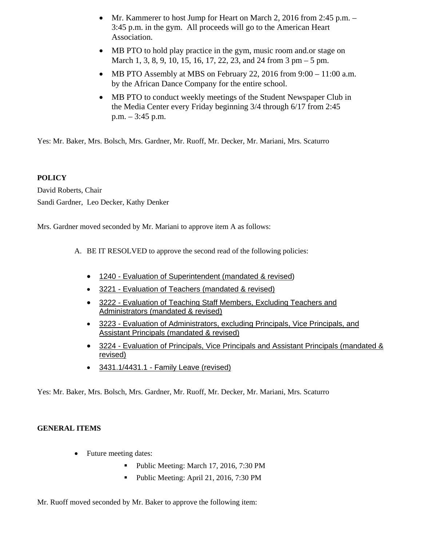- Mr. Kammerer to host Jump for Heart on March 2, 2016 from 2:45 p.m. 3:45 p.m. in the gym. All proceeds will go to the American Heart Association.
- MB PTO to hold play practice in the gym, music room and or stage on March 1, 3, 8, 9, 10, 15, 16, 17, 22, 23, and 24 from 3 pm – 5 pm.
- MB PTO Assembly at MBS on February 22, 2016 from  $9:00 11:00$  a.m. by the African Dance Company for the entire school.
- MB PTO to conduct weekly meetings of the Student Newspaper Club in the Media Center every Friday beginning 3/4 through 6/17 from 2:45 p.m. – 3:45 p.m.

Yes: Mr. Baker, Mrs. Bolsch, Mrs. Gardner, Mr. Ruoff, Mr. Decker, Mr. Mariani, Mrs. Scaturro

# **POLICY**

David Roberts, Chair Sandi Gardner, Leo Decker, Kathy Denker

Mrs. Gardner moved seconded by Mr. Mariani to approve item A as follows:

- A. BE IT RESOLVED to approve the second read of the following policies:
	- 1240 Evaluation of Superintendent (mandated & revised)
	- 3221 Evaluation of Teachers (mandated & revised)
	- 3222 Evaluation of Teaching Staff Members, Excluding Teachers and Administrators (mandated & revised)
	- 3223 Evaluation of Administrators, excluding Principals, Vice Principals, and Assistant Principals (mandated & revised)
	- 3224 Evaluation of Principals, Vice Principals and Assistant Principals (mandated & revised)
	- 3431.1/4431.1 Family Leave (revised)

Yes: Mr. Baker, Mrs. Bolsch, Mrs. Gardner, Mr. Ruoff, Mr. Decker, Mr. Mariani, Mrs. Scaturro

# **GENERAL ITEMS**

- Future meeting dates:
	- Public Meeting: March 17, 2016, 7:30 PM
	- Public Meeting: April 21, 2016, 7:30 PM

Mr. Ruoff moved seconded by Mr. Baker to approve the following item: